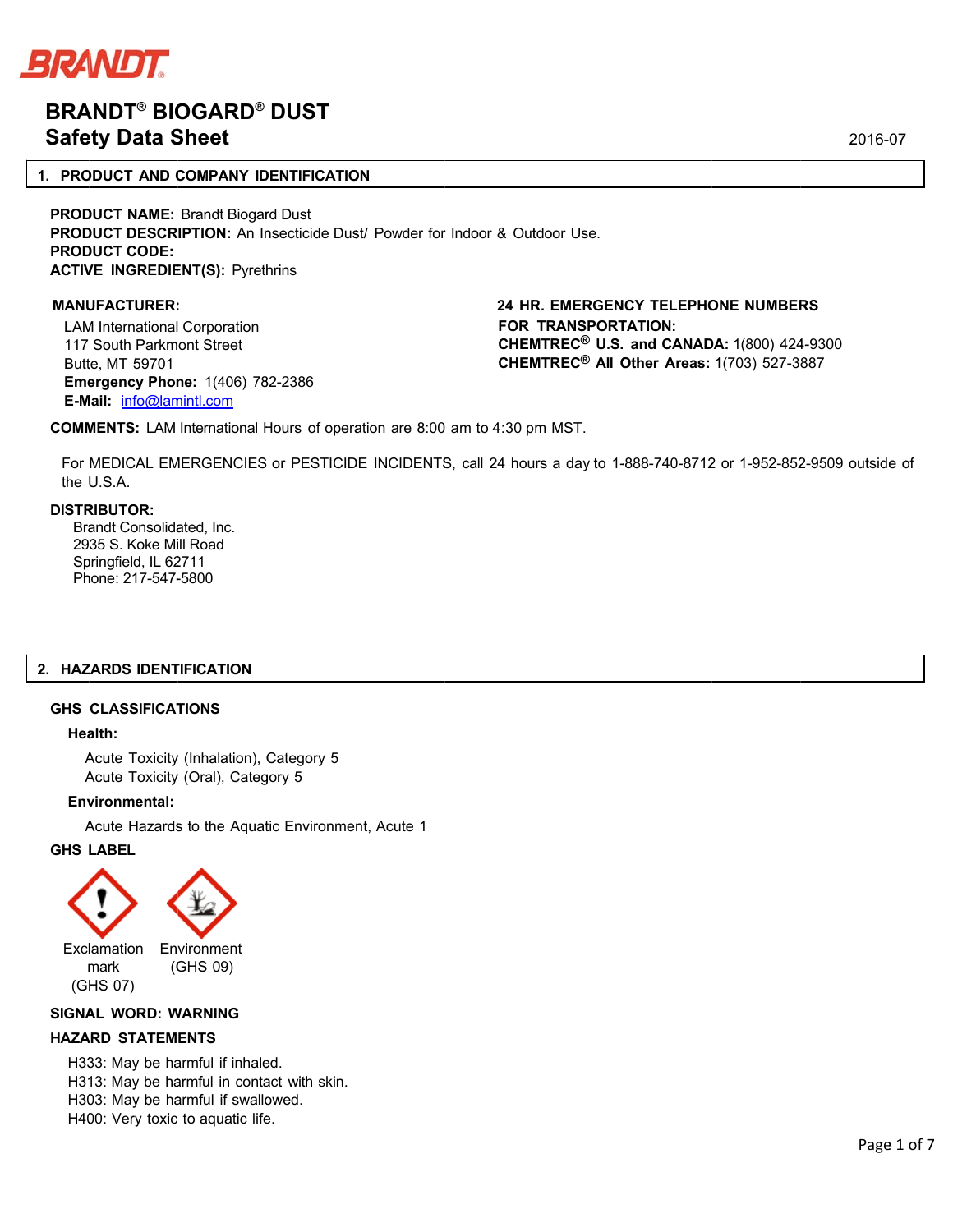

# **BRA ANDT® BIO OGARD® DUST Safety Data Sheet**

## **1. PRODUCT AND COMPANY IDENTIFICATION**

**PRODUCT NAME: Brandt Biogard Dust PRODUCT DESCRIPTION:** An Insecticide Dust/ Powder for Indoor & Outdoor Use. **PROD DUCT CODE: ACTIVE INGREDIENT(S): Pyrethrins** 

#### **MANU UFACTURER: :**

LAM M International Corporation 117 South Parkm ont Street Butt te, MT 59701 **Eme ergency Phon ne:** 1(406) 78 82-2386 **E-M Mail:** info@lam mintl.com

# **24 HR. EMERGENCY TELEPHONE NUMBERS FOR TRANSPORT TATION: CHEMTREC<sup>®</sup> U.S. and CANADA:** 1(800) 424-9300 **CHEM MTREC® All O Other Areas:**  1(703) 527-3 887

**COMMENTS:** LAM International Hours of operation are 8:00 am to 4:30 pm MST.

For MEDICAL EMERGENCIES or PESTICIDE INCIDENTS, call 24 hours a day to 1-888-740-8712 or 1-952-852-9509 outside of the U.S.A.

#### **DISTR RIBUTOR:**

Brandt Consolidated, Inc. 29 35 S. Koke Mi ill Road Sp pringfield, IL 62 2711 Phone: 217-547-5800

#### **2. HAZ ZARDS IDENT TIFICATION**

#### **GHS CLASSIFICAT TIONS**

#### **Hea alth:**

Acute Toxicity (Inhalation), Category 5 Acute Toxicity (Oral), Category 5

#### **Env vironmental:**

Acute Hazards to the Aquatic Environment, Acute 1

### **GHS LABEL**



#### **SIGNA AL WORD: W WARNING**

#### **HAZA ARD STATEM ENTS**

H333: May be harmful if inhaled. H313: May be harmful in contact with skin. H303: May be harmful if swallowed. H400: Very toxic to aquatic life.

2016-0 07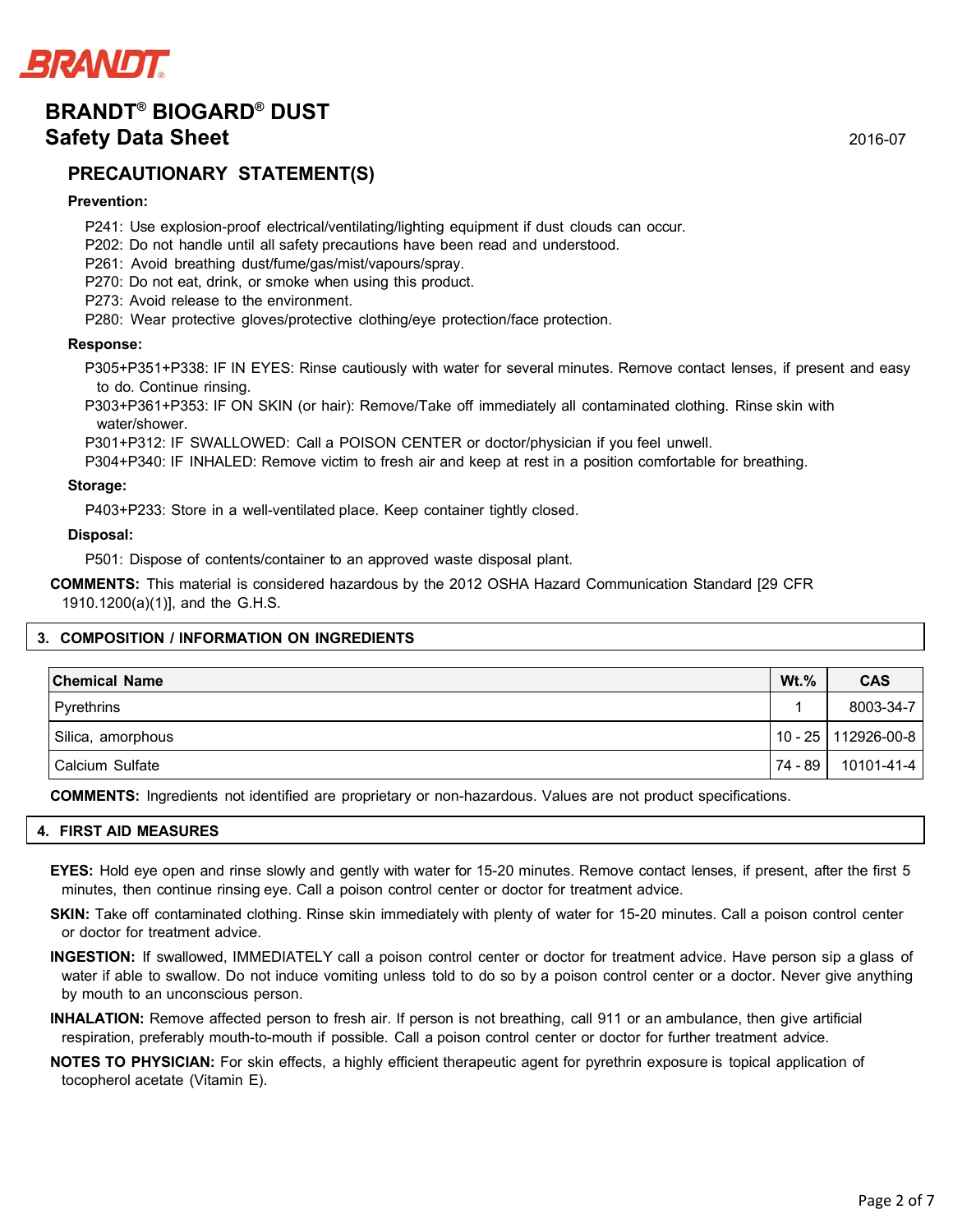

# **PRECAUTIONARY STATEMENT(S)**

# **Prevention:**

- P241: Use explosion-proof electrical/ventilating/lighting equipment if dust clouds can occur.
- P202: Do not handle until all safety precautions have been read and understood.
- P261: Avoid breathing dust/fume/gas/mist/vapours/spray.
- P270: Do not eat, drink, or smoke when using this product.
- P273: Avoid release to the environment.
- P280: Wear protective gloves/protective clothing/eye protection/face protection.

#### **Response:**

P305+P351+P338: IF IN EYES: Rinse cautiously with water for several minutes. Remove contact lenses, if present and easy to do. Continue rinsing.

P303+P361+P353: IF ON SKIN (or hair): Remove/Take off immediately all contaminated clothing. Rinse skin with water/shower.

P301+P312: IF SWALLOWED: Call a POISON CENTER or doctor/physician if you feel unwell.

P304+P340: IF INHALED: Remove victim to fresh air and keep at rest in a position comfortable for breathing.

#### **Storage:**

P403+P233: Store in a well-ventilated place. Keep container tightly closed.

#### **Disposal:**

P501: Dispose of contents/container to an approved waste disposal plant.

**COMMENTS:** This material is considered hazardous by the 2012 OSHA Hazard Communication Standard [29 CFR 1910.1200(a)(1)], and the G.H.S.

# **3. COMPOSITION / INFORMATION ON INGREDIENTS**

| <b>Chemical Name</b> | $Wt.\%$   | <b>CAS</b>            |
|----------------------|-----------|-----------------------|
| Pyrethrins           |           | 8003-34-7             |
| Silica, amorphous    |           | 10 - 25   112926-00-8 |
| Calcium Sulfate      | 74 - 89 I | 10101-41-4            |

**COMMENTS:** Ingredients not identified are proprietary or non-hazardous. Values are not product specifications.

#### **4. FIRST AID MEASURES**

- **EYES:** Hold eye open and rinse slowly and gently with water for 15-20 minutes. Remove contact lenses, if present, after the first 5 minutes, then continue rinsing eye. Call a poison control center or doctor for treatment advice.
- **SKIN:** Take off contaminated clothing. Rinse skin immediately with plenty of water for 15-20 minutes. Call a poison control center or doctor for treatment advice.
- **INGESTION:** If swallowed, IMMEDIATELY call a poison control center or doctor for treatment advice. Have person sip a glass of water if able to swallow. Do not induce vomiting unless told to do so by a poison control center or a doctor. Never give anything by mouth to an unconscious person.
- **INHALATION:** Remove affected person to fresh air. If person is not breathing, call 911 or an ambulance, then give artificial respiration, preferably mouth-to-mouth if possible. Call a poison control center or doctor for further treatment advice.
- **NOTES TO PHYSICIAN:** For skin effects, a highly efficient therapeutic agent for pyrethrin exposure is topical application of tocopherol acetate (Vitamin E).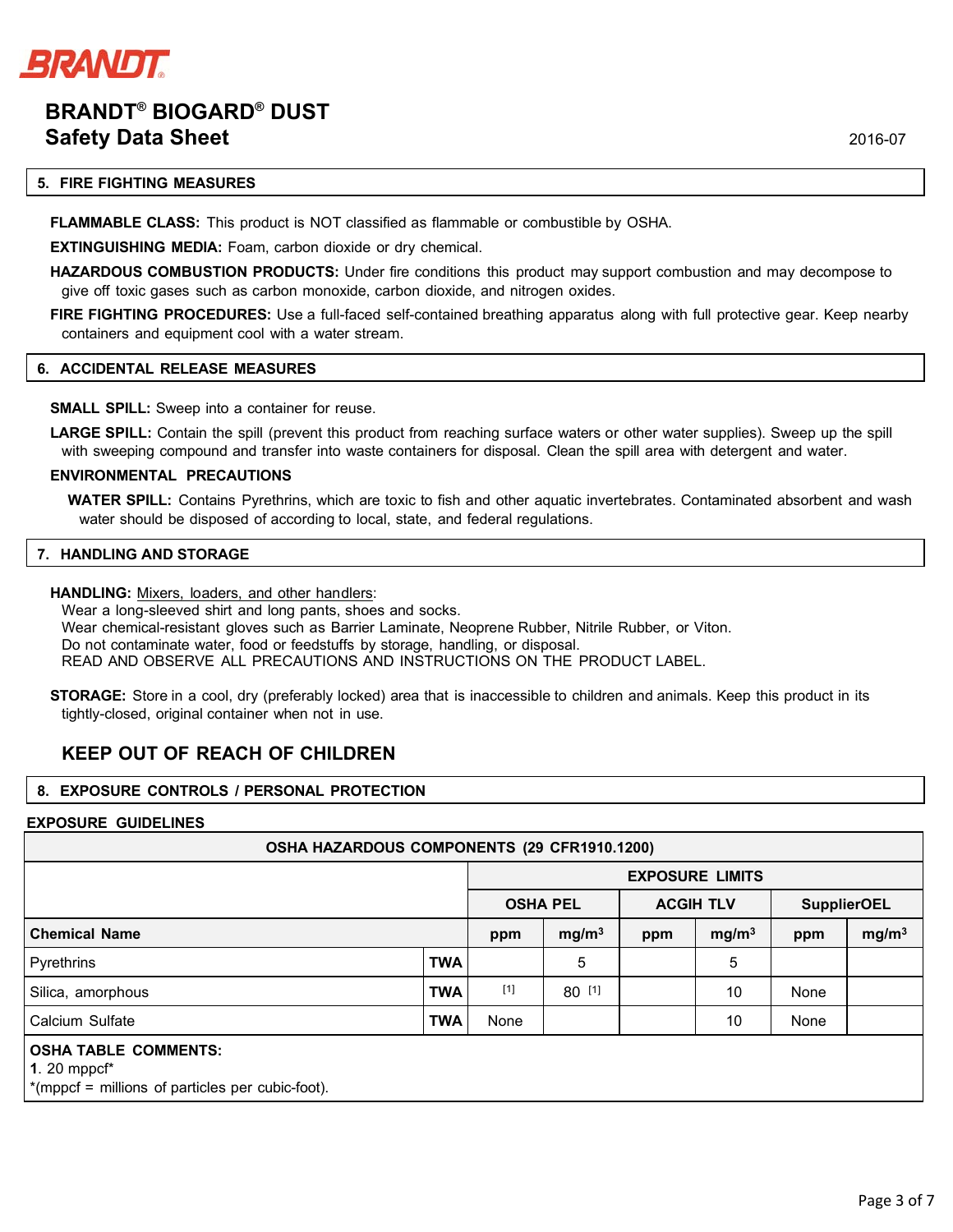

### **5. FIRE FIGHTING MEASURES**

**FLAMMABLE CLASS:** This product is NOT classified as flammable or combustible by OSHA.

**EXTINGUISHING MEDIA:** Foam, carbon dioxide or dry chemical.

**HAZARDOUS COMBUSTION PRODUCTS:** Under fire conditions this product may support combustion and may decompose to give off toxic gases such as carbon monoxide, carbon dioxide, and nitrogen oxides.

**FIRE FIGHTING PROCEDURES:** Use a full-faced self-contained breathing apparatus along with full protective gear. Keep nearby containers and equipment cool with a water stream.

#### **6. ACCIDENTAL RELEASE MEASURES**

**SMALL SPILL:** Sweep into a container for reuse.

**LARGE SPILL:** Contain the spill (prevent this product from reaching surface waters or other water supplies). Sweep up the spill with sweeping compound and transfer into waste containers for disposal. Clean the spill area with detergent and water.

#### **ENVIRONMENTAL PRECAUTIONS**

**WATER SPILL:** Contains Pyrethrins, which are toxic to fish and other aquatic invertebrates. Contaminated absorbent and wash water should be disposed of according to local, state, and federal regulations.

#### **7. HANDLING AND STORAGE**

HANDLING: Mixers, loaders, and other handlers:

Wear a long-sleeved shirt and long pants, shoes and socks. Wear chemical-resistant gloves such as Barrier Laminate, Neoprene Rubber, Nitrile Rubber, or Viton. Do not contaminate water, food or feedstuffs by storage, handling, or disposal. READ AND OBSERVE ALL PRECAUTIONS AND INSTRUCTIONS ON THE PRODUCT LABEL.

**STORAGE:** Store in a cool, dry (preferably locked) area that is inaccessible to children and animals. Keep this product in its tightly-closed, original container when not in use.

# **KEEP OUT OF REACH OF CHILDREN**

#### **8. EXPOSURE CONTROLS / PERSONAL PROTECTION**

#### **EXPOSURE GUIDELINES**

| OSHA HAZARDOUS COMPONENTS (29 CFR1910.1200) |                        |                   |     |                   |                    |                   |  |  |  |
|---------------------------------------------|------------------------|-------------------|-----|-------------------|--------------------|-------------------|--|--|--|
|                                             | <b>EXPOSURE LIMITS</b> |                   |     |                   |                    |                   |  |  |  |
|                                             | <b>OSHA PEL</b>        |                   |     |                   | <b>SupplierOEL</b> |                   |  |  |  |
|                                             | ppm                    | mg/m <sup>3</sup> | ppm | mg/m <sup>3</sup> | ppm                | mg/m <sup>3</sup> |  |  |  |
| <b>TWA</b>                                  |                        | 5                 |     | 5                 |                    |                   |  |  |  |
| <b>TWA</b>                                  | $[1]$                  | 80 [1]            |     | 10                | None               |                   |  |  |  |
| <b>TWA</b>                                  | None                   |                   |     | 10                | None               |                   |  |  |  |
|                                             |                        |                   |     |                   |                    |                   |  |  |  |
|                                             |                        |                   |     |                   | <b>ACGIH TLV</b>   |                   |  |  |  |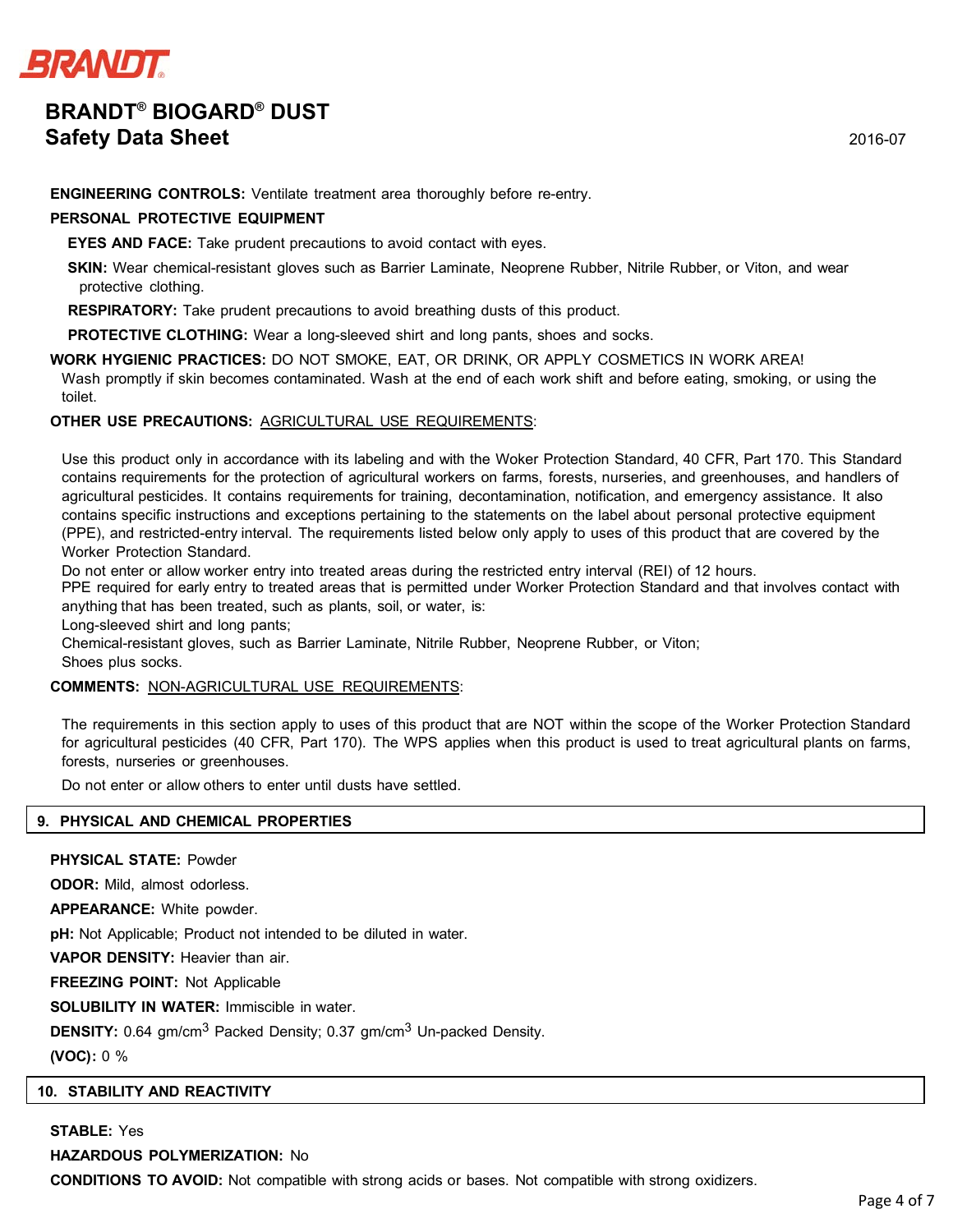

**ENGINEERING CONTROLS:** Ventilate treatment area thoroughly before re-entry.

## **PERSONAL PROTECTIVE EQUIPMENT**

**EYES AND FACE:** Take prudent precautions to avoid contact with eyes.

**SKIN:** Wear chemical-resistant gloves such as Barrier Laminate, Neoprene Rubber, Nitrile Rubber, or Viton, and wear protective clothing.

**RESPIRATORY:** Take prudent precautions to avoid breathing dusts of this product.

**PROTECTIVE CLOTHING:** Wear a long-sleeved shirt and long pants, shoes and socks.

**WORK HYGIENIC PRACTICES:** DO NOT SMOKE, EAT, OR DRINK, OR APPLY COSMETICS IN WORK AREA! Wash promptly if skin becomes contaminated. Wash at the end of each work shift and before eating, smoking, or using the toilet.

# **OTHER USE PRECAUTIONS:** AGRICULTURAL USE REQUIREMENTS:

Use this product only in accordance with its labeling and with the Woker Protection Standard, 40 CFR, Part 170. This Standard contains requirements for the protection of agricultural workers on farms, forests, nurseries, and greenhouses, and handlers of agricultural pesticides. It contains requirements for training, decontamination, notification, and emergency assistance. It also contains specific instructions and exceptions pertaining to the statements on the label about personal protective equipment (PPE), and restricted-entry interval. The requirements listed below only apply to uses of this product that are covered by the Worker Protection Standard.

Do not enter or allow worker entry into treated areas during the restricted entry interval (REI) of 12 hours.

PPE required for early entry to treated areas that is permitted under Worker Protection Standard and that involves contact with anything that has been treated, such as plants, soil, or water, is:

Long-sleeved shirt and long pants;

Chemical-resistant gloves, such as Barrier Laminate, Nitrile Rubber, Neoprene Rubber, or Viton;

Shoes plus socks.

# **COMMENTS:** NON-AGRICULTURAL USE REQUIREMENTS:

The requirements in this section apply to uses of this product that are NOT within the scope of the Worker Protection Standard for agricultural pesticides (40 CFR, Part 170). The WPS applies when this product is used to treat agricultural plants on farms, forests, nurseries or greenhouses.

Do not enter or allow others to enter until dusts have settled.

# **9. PHYSICAL AND CHEMICAL PROPERTIES**

**PHYSICAL STATE:** Powder

**ODOR:** Mild, almost odorless.

**APPEARANCE:** White powder.

**pH:** Not Applicable; Product not intended to be diluted in water.

**VAPOR DENSITY:** Heavier than air.

**FREEZING POINT:** Not Applicable

**SOLUBILITY IN WATER:** Immiscible in water.

**DENSITY:** 0.64 gm/cm<sup>3</sup> Packed Density; 0.37 gm/cm<sup>3</sup> Un-packed Density.

**(VOC):** 0 %

# **10. STABILITY AND REACTIVITY**

**STABLE:** Yes

**HAZARDOUS POLYMERIZATION:** No

**CONDITIONS TO AVOID:** Not compatible with strong acids or bases. Not compatible with strong oxidizers.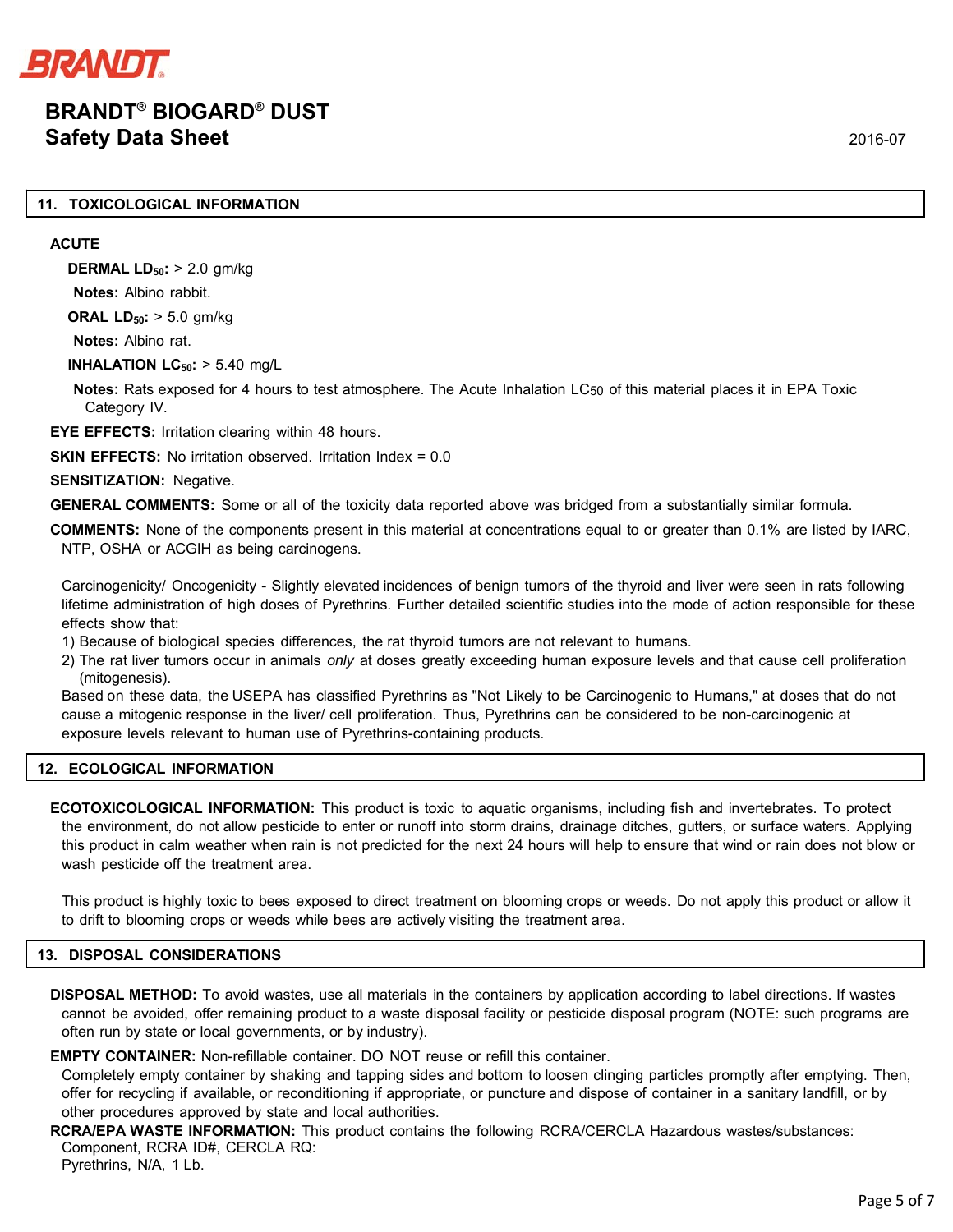

## **11. TOXICOLOGICAL INFORMATION**

#### **ACUTE**

**DERMAL LD50:** > 2.0 gm/kg **Notes:** Albino rabbit.

**ORAL LD<sub>50</sub>: > 5.0 gm/kg** 

**Notes:** Albino rat.

**INHALATION LC<sub>50</sub>: > 5.40 mg/L** 

**Notes:** Rats exposed for 4 hours to test atmosphere. The Acute Inhalation LC<sub>50</sub> of this material places it in EPA Toxic Category IV.

**EYE EFFECTS:** Irritation clearing within 48 hours.

**SKIN EFFECTS:** No irritation observed. Irritation Index = 0.0

**SENSITIZATION: Negative.** 

**GENERAL COMMENTS:** Some or all of the toxicity data reported above was bridged from a substantially similar formula.

**COMMENTS:** None of the components present in this material at concentrations equal to or greater than 0.1% are listed by IARC, NTP, OSHA or ACGIH as being carcinogens.

Carcinogenicity/ Oncogenicity - Slightly elevated incidences of benign tumors of the thyroid and liver were seen in rats following lifetime administration of high doses of Pyrethrins. Further detailed scientific studies into the mode of action responsible for these effects show that:

- 1) Because of biological species differences, the rat thyroid tumors are not relevant to humans.
- 2) The rat liver tumors occur in animals *only* at doses greatly exceeding human exposure levels and that cause cell proliferation (mitogenesis).

Based on these data, the USEPA has classified Pyrethrins as "Not Likely to be Carcinogenic to Humans," at doses that do not cause a mitogenic response in the liver/ cell proliferation. Thus, Pyrethrins can be considered to be non-carcinogenic at exposure levels relevant to human use of Pyrethrins-containing products.

#### **12. ECOLOGICAL INFORMATION**

**ECOTOXICOLOGICAL INFORMATION:** This product is toxic to aquatic organisms, including fish and invertebrates. To protect the environment, do not allow pesticide to enter or runoff into storm drains, drainage ditches, gutters, or surface waters. Applying this product in calm weather when rain is not predicted for the next 24 hours will help to ensure that wind or rain does not blow or wash pesticide off the treatment area.

This product is highly toxic to bees exposed to direct treatment on blooming crops or weeds. Do not apply this product or allow it to drift to blooming crops or weeds while bees are actively visiting the treatment area.

### **13. DISPOSAL CONSIDERATIONS**

**DISPOSAL METHOD:** To avoid wastes, use all materials in the containers by application according to label directions. If wastes cannot be avoided, offer remaining product to a waste disposal facility or pesticide disposal program (NOTE: such programs are often run by state or local governments, or by industry).

**EMPTY CONTAINER:** Non-refillable container. DO NOT reuse or refill this container.

Completely empty container by shaking and tapping sides and bottom to loosen clinging particles promptly after emptying. Then, offer for recycling if available, or reconditioning if appropriate, or puncture and dispose of container in a sanitary landfill, or by other procedures approved by state and local authorities.

**RCRA/EPA WASTE INFORMATION:** This product contains the following RCRA/CERCLA Hazardous wastes/substances: Component, RCRA ID#, CERCLA RQ: Pyrethrins, N/A, 1 Lb.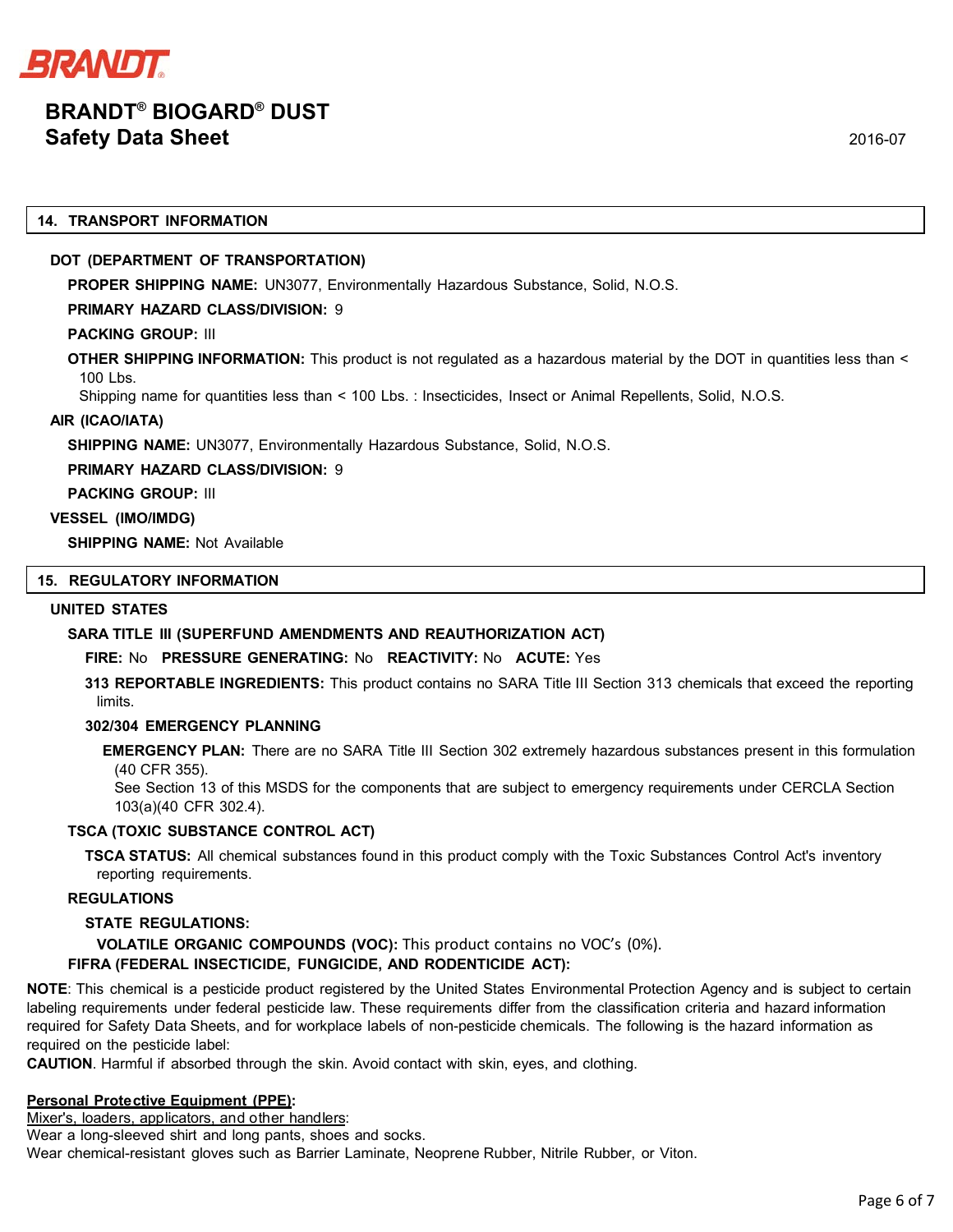

#### **14. TRANSPORT INFORMATION**

## **DOT (DEPARTMENT OF TRANSPORTATION)**

**PROPER SHIPPING NAME:** UN3077, Environmentally Hazardous Substance, Solid, N.O.S.

### **PRIMARY HAZARD CLASS/DIVISION:** 9

## **PACKING GROUP:** III

**OTHER SHIPPING INFORMATION:** This product is not regulated as a hazardous material by the DOT in quantities less than <  $100 \text{ lbs}$ .

Shipping name for quantities less than < 100 Lbs. : Insecticides, Insect or Animal Repellents, Solid, N.O.S.

## **AIR (ICAO/IATA)**

**SHIPPING NAME:** UN3077, Environmentally Hazardous Substance, Solid, N.O.S.

**PRIMARY HAZARD CLASS/DIVISION:** 9

**PACKING GROUP:** III

### **VESSEL (IMO/IMDG)**

**SHIPPING NAME:** Not Available

# **15. REGULATORY INFORMATION**

#### **UNITED STATES**

# **SARA TITLE III (SUPERFUND AMENDMENTS AND REAUTHORIZATION ACT)**

# **FIRE:** No **PRESSURE GENERATING:** No **REACTIVITY:** No **ACUTE:** Yes

**313 REPORTABLE INGREDIENTS:** This product contains no SARA Title III Section 313 chemicals that exceed the reporting limits.

#### **302/304 EMERGENCY PLANNING**

**EMERGENCY PLAN:** There are no SARA Title III Section 302 extremely hazardous substances present in this formulation (40 CFR 355).

See Section 13 of this MSDS for the components that are subject to emergency requirements under CERCLA Section 103(a)(40 CFR 302.4).

# **TSCA (TOXIC SUBSTANCE CONTROL ACT)**

**TSCA STATUS:** All chemical substances found in this product comply with the Toxic Substances Control Act's inventory reporting requirements.

# **REGULATIONS**

# **STATE REGULATIONS:**

**VOLATILE ORGANIC COMPOUNDS (VOC):** This product contains no VOC's (0%).

# **FIFRA (FEDERAL INSECTICIDE, FUNGICIDE, AND RODENTICIDE ACT):**

**NOTE**: This chemical is a pesticide product registered by the United States Environmental Protection Agency and is subject to certain labeling requirements under federal pesticide law. These requirements differ from the classification criteria and hazard information required for Safety Data Sheets, and for workplace labels of non-pesticide chemicals. The following is the hazard information as required on the pesticide label:

**CAUTION**. Harmful if absorbed through the skin. Avoid contact with skin, eyes, and clothing.

#### **Personal Prote ctive Equipment (PPE):**

Mixer's, loaders, applicators, and other handlers:

Wear a long-sleeved shirt and long pants, shoes and socks.

Wear chemical-resistant gloves such as Barrier Laminate, Neoprene Rubber, Nitrile Rubber, or Viton.